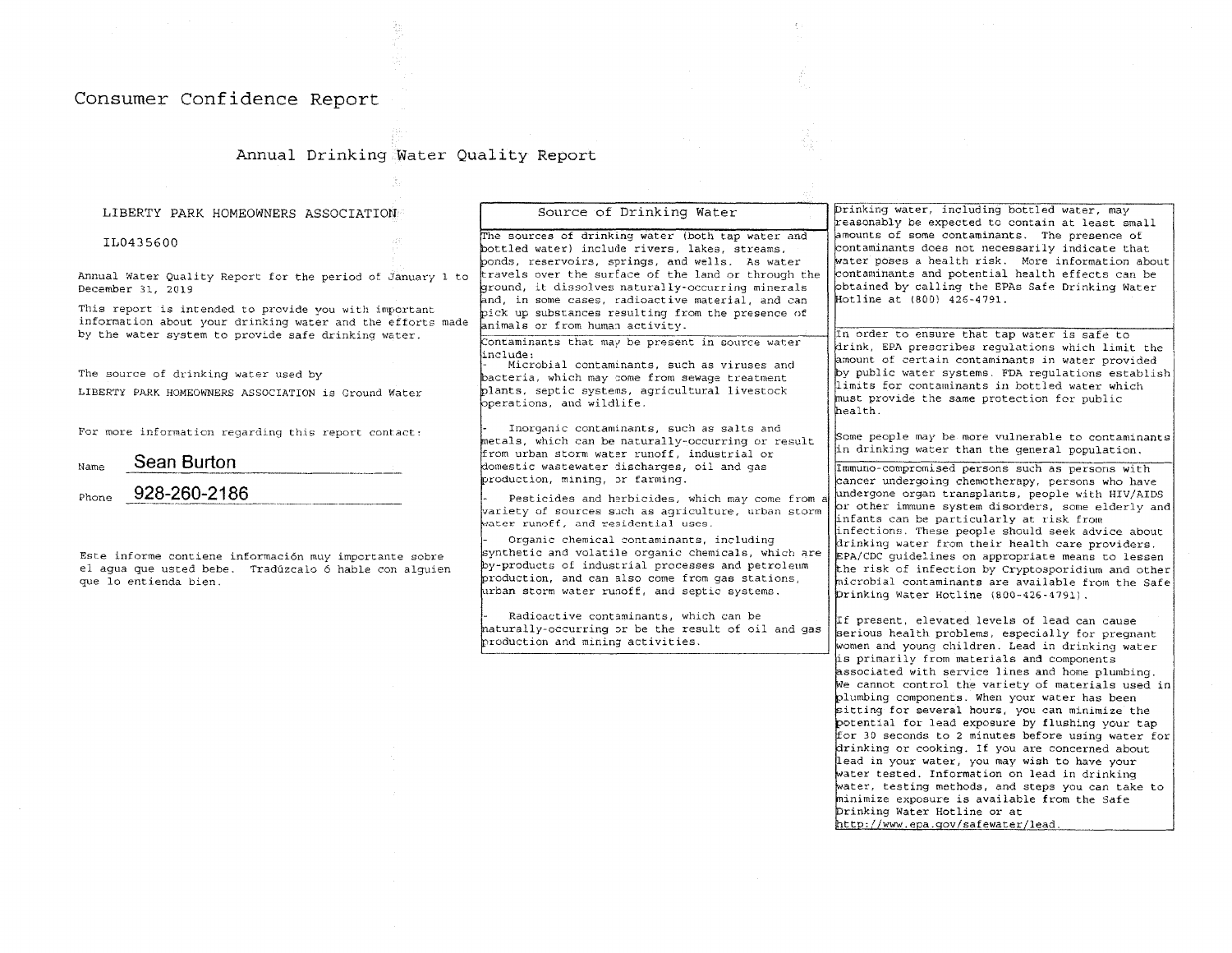## Consumer Confidence Report

# Annual Drinking Water Quality Report

 $\mathcal{Z}_\mathrm{c}$ 

| LIBERTY PARK HOMEOWNERS ASSOCIATION                                                                                                                                        | Source of Drinking Water                                                                                                                                                                                                                                                                                                                                | Drinking water, including bottled water, may<br>reasonably be expected to contain at least small                                                                                                                                                                                                                                                                                                                                                                                                                                                                                                                                                                                                   |
|----------------------------------------------------------------------------------------------------------------------------------------------------------------------------|---------------------------------------------------------------------------------------------------------------------------------------------------------------------------------------------------------------------------------------------------------------------------------------------------------------------------------------------------------|----------------------------------------------------------------------------------------------------------------------------------------------------------------------------------------------------------------------------------------------------------------------------------------------------------------------------------------------------------------------------------------------------------------------------------------------------------------------------------------------------------------------------------------------------------------------------------------------------------------------------------------------------------------------------------------------------|
| IL0435600                                                                                                                                                                  | The sources of drinking water (both tap water and<br>bottled water) include rivers, lakes, streams,<br>ponds, reservoirs, springs, and wells. As water                                                                                                                                                                                                  | amounts of some contaminants. The presence of<br>contaminants does not necessarily indicate that<br>water poses a health risk. More information about                                                                                                                                                                                                                                                                                                                                                                                                                                                                                                                                              |
| Annual Water Quality Report for the period of January 1 to<br>December 31, 2019                                                                                            | travels over the surface of the land or through the<br>ground, it dissolves naturally-occurring minerals<br>and, in some cases, radioactive material, and can                                                                                                                                                                                           | contaminants and potential health effects can be<br>obtained by calling the EPAs Safe Drinking Water<br>Hotline at (800) 426-4791.                                                                                                                                                                                                                                                                                                                                                                                                                                                                                                                                                                 |
| This report is intended to provide you with important<br>information about your drinking water and the efforts made<br>by the water system to provide safe drinking water. | pick up substances resulting from the presence of<br>animals or from human activity.                                                                                                                                                                                                                                                                    | In order to ensure that tap water is safe to                                                                                                                                                                                                                                                                                                                                                                                                                                                                                                                                                                                                                                                       |
| The source of drinking water used by<br>LIBERTY PARK HOMEOWNERS ASSOCIATION is Ground Water                                                                                | Contaminants that may be present in source water<br>linclude:<br>Microbial contaminants, such as viruses and<br>bacteria, which may come from sewage treatment<br>plants, septic systems, agricultural livestock<br>operations, and wildlife.                                                                                                           | drink, EPA prescribes requlations which limit the<br>amount of certain contaminants in water provided<br>by public water systems. FDA regulations establish<br>limits for contaminants in bottled water which<br>must provide the same protection for public<br>health.                                                                                                                                                                                                                                                                                                                                                                                                                            |
| For more information regarding this report contact:                                                                                                                        | Inorganic contaminants, such as salts and<br>metals, which can be naturally-occurring or result<br>from urban storm water runoff, industrial or                                                                                                                                                                                                         | Some people may be more vulnerable to contaminants<br>in drinking water than the general population,                                                                                                                                                                                                                                                                                                                                                                                                                                                                                                                                                                                               |
| Sean Burton<br>Name<br>928-260-2186<br>Phone                                                                                                                               | domestic wastewater discharges, oil and gas<br>production, mining, or farming.<br>Pesticides and herbicides, which may come from a                                                                                                                                                                                                                      | Immuno-compromised persons such as persons with<br>cancer undergoing chemotherapy, persons who have<br>undergone organ transplants, people with HIV/AIDS                                                                                                                                                                                                                                                                                                                                                                                                                                                                                                                                           |
| Este informe contiene información muy importante sobre<br>el agua que usted bebe. Tradúzcalo ó hable con alquien<br>que lo entienda bien.                                  | wariety of sources such as agriculture, urban storm<br>water runoff, and residential uses.<br>Organic chemical contaminants, including<br>synthetic and volatile organic chemicals, which are<br>by-products of industrial processes and petroleum<br>production, and can also come from gas stations,<br>urban storm water runoff, and septic systems. | or other immune system disorders, some elderly and<br>infants can be particularly at risk from<br>infections. These people should seek advice about<br>drinking water from their health care providers.<br>EPA/CDC guidelines on appropriate means to lessen<br>the risk of infection by Cryptosporidium and other<br>microbial contaminants are available from the Safe<br>Drinking Water Hotline (800-426-4791).                                                                                                                                                                                                                                                                                 |
|                                                                                                                                                                            | Radioactive contaminants, which can be<br>haturally-occurring or be the result of oil and gas<br>production and mining activities.                                                                                                                                                                                                                      | If present, elevated levels of lead can cause<br>serious health problems, especially for pregnant<br>women and young children. Lead in drinking water                                                                                                                                                                                                                                                                                                                                                                                                                                                                                                                                              |
|                                                                                                                                                                            |                                                                                                                                                                                                                                                                                                                                                         | is primarily from materials and components<br>associated with service lines and home plumbing.<br>We cannot control the variety of materials used in<br>plumbing components. When your water has been<br>sitting for several hours, you can minimize the<br>potential for lead exposure by flushing your tap<br>for 30 seconds to 2 minutes before using water for<br>drinking or cooking. If you are concerned about<br>lead in your water, you may wish to have your<br>water tested. Information on lead in drinking<br>water, testing methods, and steps you can take to<br>minimize exposure is available from the Safe<br>Drinking Water Hotline or at<br>http://www.epa.gov/safewater/lead. |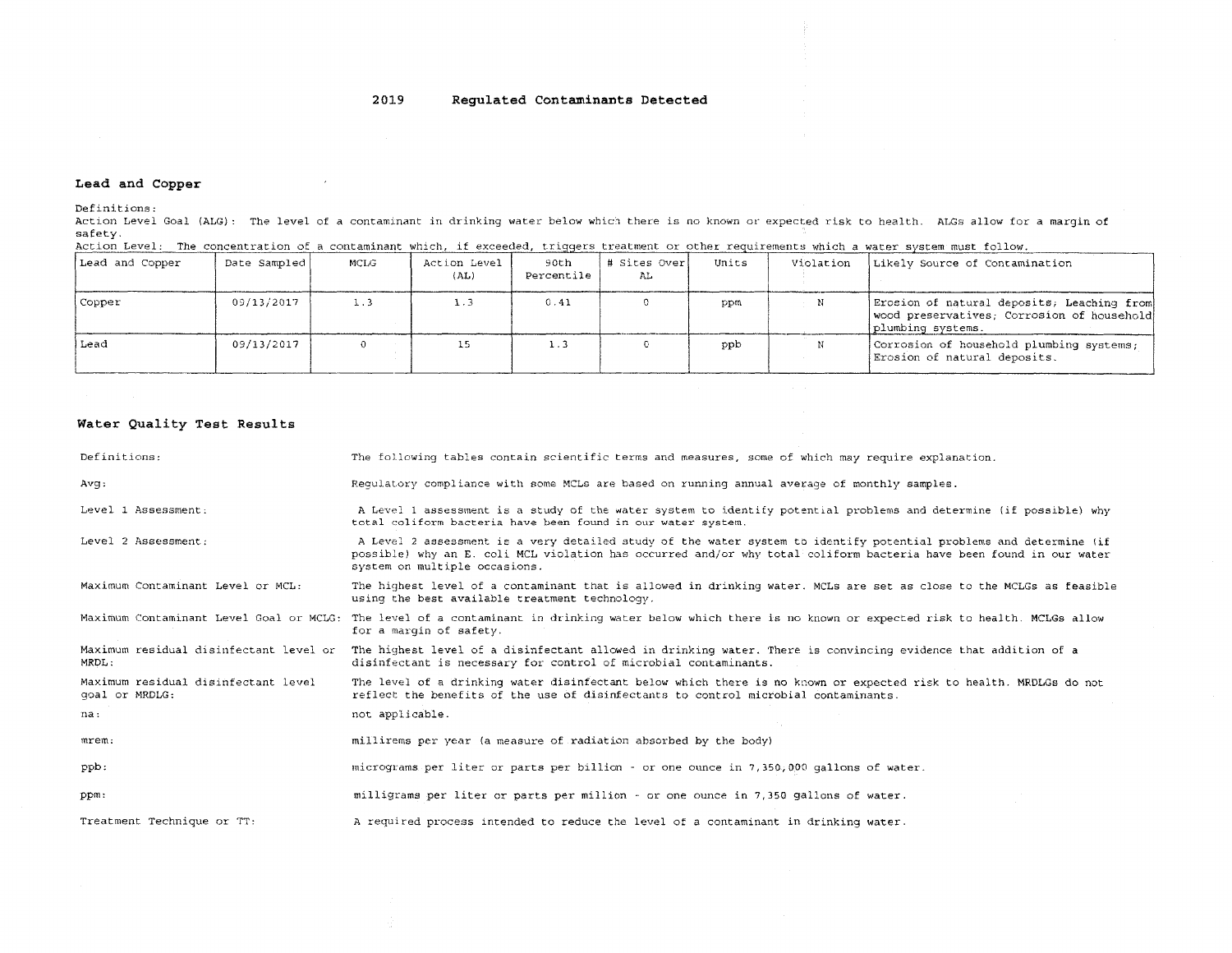#### 2019 Regulated Contaminants Detected

### Lead and Copper

Definitions:

Action Level Goal (ALG): The level of a contaminant in drinking water below which there is no known or expected risk to health. ALGs allow for a margin of safety.

| Action Level: The concentration of a contaminant which, if exceeded, triggers treatment or other requirements which a water system must follow. |  |  |  |  |
|-------------------------------------------------------------------------------------------------------------------------------------------------|--|--|--|--|
|                                                                                                                                                 |  |  |  |  |

| Lead and Copper | Date Sampled | MCLG | Action Level<br>(AL) | 90th<br>Percentile | # Sites Over <br>AL. | Units | Violation | Likely Source of Contamination                                                                                |
|-----------------|--------------|------|----------------------|--------------------|----------------------|-------|-----------|---------------------------------------------------------------------------------------------------------------|
| Copper          | 09/13/2017   | 1.3  | 1.3                  | 0.41               |                      | ppm   | N         | Erosion of natural deposits, Leaching from<br>wood preservatives; Corrosion of household<br>plumbing systems. |
| Lead            | 09/13/2017   |      |                      | 1.3                |                      | ppb   |           | Corrosion of household plumbing systems;<br>Erosion of natural deposits.                                      |

### Water Quality Test Results

| Definitions:                                          | The following tables contain scientific terms and measures, some of which may require explanation.                                                                                                                                                                         |
|-------------------------------------------------------|----------------------------------------------------------------------------------------------------------------------------------------------------------------------------------------------------------------------------------------------------------------------------|
| Avq:                                                  | Requiatory compliance with some MCLs are based on running annual average of monthly samples.                                                                                                                                                                               |
| Level 1 Assessment:                                   | A Level 1 assessment is a study of the water system to identify potential problems and determine (if possible) why<br>total coliform bacteria have been found in our water system.                                                                                         |
| Level 2 Assessment:                                   | A Level 2 assessment is a very detailed study of the water system to identify potential problems and determine (if<br>possible) why an E. coli MCL violation has occurred and/or why total coliform bacteria have been found in our water<br>system on multiple occasions. |
| Maximum Contaminant Level or MCL:                     | The highest level of a contaminant that is allowed in drinking water. MCLs are set as close to the MCLGs as feasible<br>using the best available treatment technology.                                                                                                     |
|                                                       | Maximum Contaminant Level Goal or MCLG: The level of a contaminant in drinking water below which there is no known or expected risk to health. MCLGs allow<br>for a margin of safety.                                                                                      |
| Maximum residual disinfectant level or<br>MRDL:       | The highest level of a disinfectant allowed in drinking water. There is convincing evidence that addition of a<br>disinfectant is necessary for control of microbial contaminants.                                                                                         |
| Maximum residual disinfectant level<br>goal or MRDLG: | The level of a drinking water disinfectant below which there is no known or expected risk to health. MRDLGs do not<br>reflect the benefits of the use of disinfectants to control microbial contaminants.                                                                  |
| na:                                                   | not applicable.                                                                                                                                                                                                                                                            |
| mrem:                                                 | millirems per year (a measure of radiation absorbed by the body)                                                                                                                                                                                                           |
| ppb:                                                  | micrograms per liter or parts per billion - or one ounce in 7,350,000 gallons of water.                                                                                                                                                                                    |
| ppm:                                                  | milligrams per liter or parts per million - or one ounce in 7,350 gallons of water.                                                                                                                                                                                        |
| Treatment Technique or TT:                            | A required process intended to reduce the level of a contaminant in drinking water.                                                                                                                                                                                        |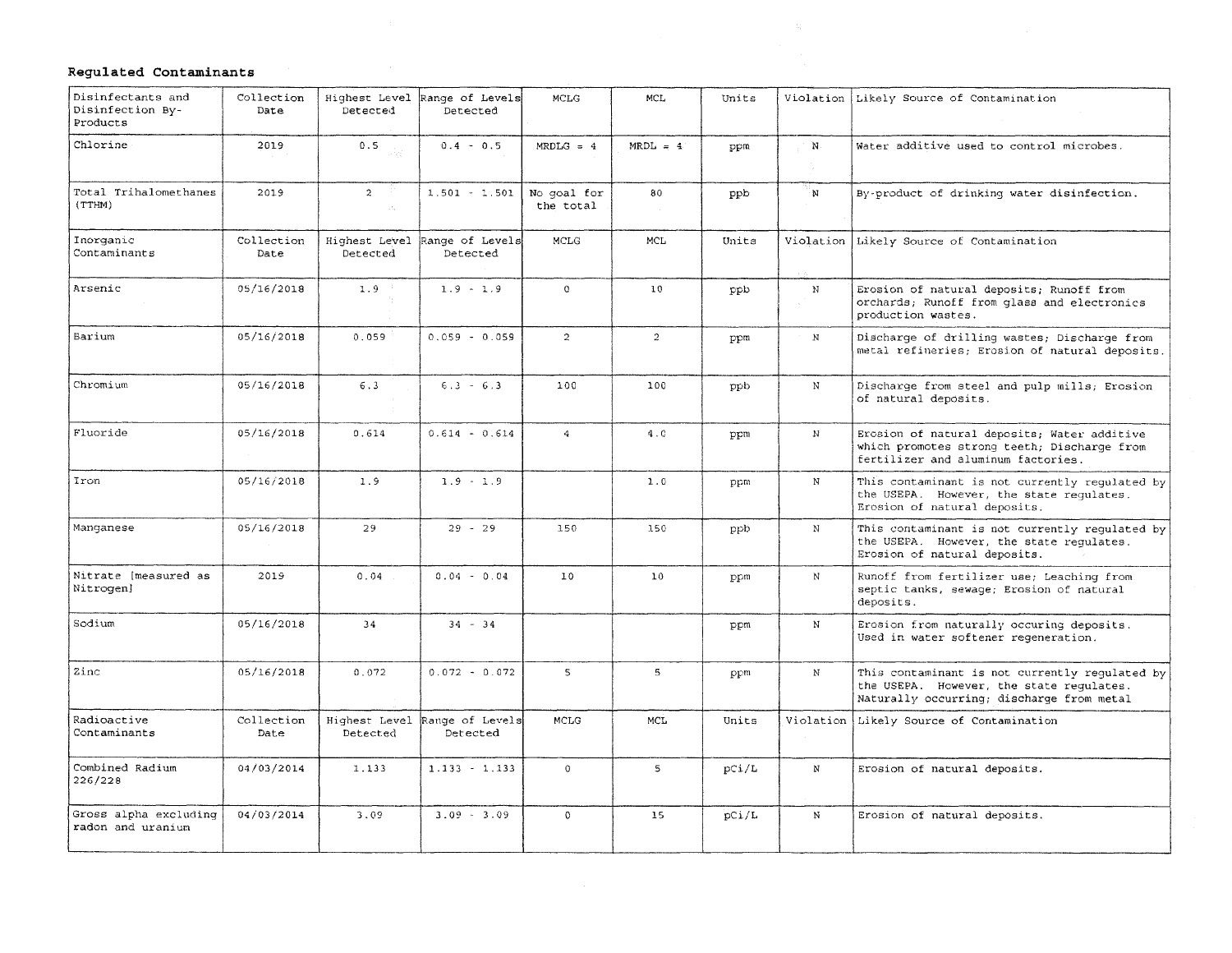### Regulated Contaminants

| Disinfectants and<br>Disinfection By-<br>Products | Collection<br>Date | Detected                                      | Highest Level Range of Levels<br>Detected | <b>MCLG</b>              | MCL.            | Units |              | Violation Likely Source of Contamination                                                                                                |
|---------------------------------------------------|--------------------|-----------------------------------------------|-------------------------------------------|--------------------------|-----------------|-------|--------------|-----------------------------------------------------------------------------------------------------------------------------------------|
| Chlorine                                          | 2019               | 0.5                                           | $0.4 - 0.5$                               | $MRDLG = 4$              | $MRDL = 4$      | ppm   | $\mathbf{N}$ | Water additive used to control microbes.                                                                                                |
| Total Trihalomethanes<br>(TTHM)                   | 2019               | $\overline{2}$<br>$\mathcal{A}_\mathrm{in}$ . | $1.501 - 1.501$                           | No goal for<br>the total | 80              | ppb   | 'N.          | By-product of drinking water disinfection.                                                                                              |
| Inorganic<br>Contaminants                         | Collection<br>Date | Detected                                      | Highest Level Range of Levels<br>Detected | <b>MCLG</b>              | MCL             | Units | Violation    | Likely Source of Contamination                                                                                                          |
| Arsenic                                           | 05/16/2018         | 1.9                                           | $1.9 - 1.9$                               | $\Omega$                 | 10 <sup>°</sup> | ppb   | N            | Erosion of natural deposits; Runoff from<br>orchards; Runoff from glass and electronics<br>production wastes.                           |
| Barium                                            | 05/16/2018         | 0.059                                         | $0.059 - 0.059$                           | $\overline{2}$           | $\overline{2}$  | ppm   | $_{\rm N}$   | Discharge of drilling wastes; Discharge from<br>metal refineries; Erosion of natural deposits.                                          |
| Chromium                                          | 05/16/2018         | 6.3                                           | $6.3 - 6.3$                               | 100                      | 100             | ppb   | $\mathbf N$  | Discharge from steel and pulp mills; Erosion<br>of natural deposits.                                                                    |
| Fluoride                                          | 05/16/2018         | 0.614                                         | $0.614 - 0.614$                           | $\overline{4}$           | 4.0             | ppm   | $\mathbf{N}$ | Erosion of natural deposits; Water additive<br>which promotes strong teeth; Discharge from<br>fertilizer and aluminum factories.        |
| Iron                                              | 05/16/2018         | 1.9                                           | $1.9 - 1.9$                               |                          | 1.0             | ppm   | N            | This contaminant is not currently regulated by<br>the USEPA. However, the state requlates.<br>Erosion of natural deposits.              |
| Manqanese                                         | 05/16/2018         | 29                                            | $29 - 29$                                 | 150                      | 150             | ppb   | $\mathbf N$  | This contaminant is not currently regulated by<br>the USEPA. However, the state requlates.<br>Erosion of natural deposits.              |
| Nitrate [measured as<br>Nitrogen]                 | 2019               | 0.04                                          | $0.04 - 0.04$                             | 10                       | 10              | ppm   | N            | Runoff from fertilizer use; Leaching from<br>septic tanks, sewage; Erosion of natural<br>deposits.                                      |
| Sodium                                            | 05/16/2018         | 34                                            | $34 - 34$                                 |                          |                 | ppm   | N            | Erosion from naturally occuring deposits.<br>Used in water softener regeneration.                                                       |
| Zinc                                              | 05/16/2018         | 0.072                                         | $0.072 - 0.072$                           | $5 -$                    | $5 -$           | ppm   | $_{\rm N}$   | This contaminant is not currently regulated by<br>the USEPA. However, the state requlates.<br>Naturally occurring; discharge from metal |
| Radioactive<br>Contaminants                       | Collection<br>Date | Detected                                      | Highest Level Range of Levels<br>Detected | MCLG                     | MCL             | Units | Violation    | Likely Source of Contamination                                                                                                          |
| Combined Radium<br>226/228                        | 04/03/2014         | 1.133                                         | $1.133 - 1.133$                           | $\mathbf{O}$             | 5               | pci/L | $_{\rm N}$   | Erosion of natural deposits.                                                                                                            |
| Gross alpha excluding<br>radon and uranium        | 04/03/2014         | 3.09                                          | $3.09 - 3.09$                             | $\mathbf{O}$             | 15              | pCi/L | N            | Erosion of natural deposits.                                                                                                            |